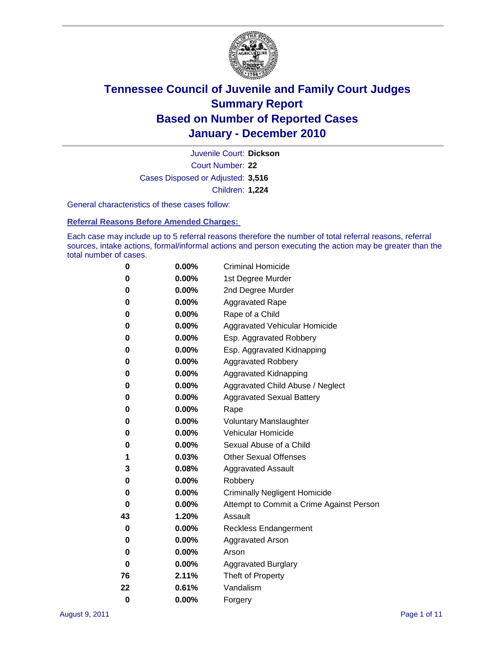

Court Number: **22** Juvenile Court: **Dickson** Cases Disposed or Adjusted: **3,516** Children: **1,224**

General characteristics of these cases follow:

**Referral Reasons Before Amended Charges:** 

Each case may include up to 5 referral reasons therefore the number of total referral reasons, referral sources, intake actions, formal/informal actions and person executing the action may be greater than the total number of cases.

| 0  | $0.00\%$ | <b>Criminal Homicide</b>                 |
|----|----------|------------------------------------------|
| 0  | 0.00%    | 1st Degree Murder                        |
| 0  | 0.00%    | 2nd Degree Murder                        |
| 0  | 0.00%    | <b>Aggravated Rape</b>                   |
| 0  | 0.00%    | Rape of a Child                          |
| 0  | 0.00%    | Aggravated Vehicular Homicide            |
| 0  | 0.00%    | Esp. Aggravated Robbery                  |
| 0  | 0.00%    | Esp. Aggravated Kidnapping               |
| 0  | 0.00%    | <b>Aggravated Robbery</b>                |
| 0  | 0.00%    | Aggravated Kidnapping                    |
| 0  | 0.00%    | Aggravated Child Abuse / Neglect         |
| 0  | 0.00%    | <b>Aggravated Sexual Battery</b>         |
| 0  | 0.00%    | Rape                                     |
| 0  | $0.00\%$ | <b>Voluntary Manslaughter</b>            |
| 0  | 0.00%    | Vehicular Homicide                       |
| 0  | 0.00%    | Sexual Abuse of a Child                  |
| 1  | 0.03%    | <b>Other Sexual Offenses</b>             |
| 3  | 0.08%    | <b>Aggravated Assault</b>                |
| 0  | 0.00%    | Robbery                                  |
| 0  | 0.00%    | <b>Criminally Negligent Homicide</b>     |
| 0  | 0.00%    | Attempt to Commit a Crime Against Person |
| 43 | 1.20%    | Assault                                  |
| 0  | 0.00%    | <b>Reckless Endangerment</b>             |
| 0  | 0.00%    | <b>Aggravated Arson</b>                  |
| 0  | 0.00%    | Arson                                    |
| 0  | 0.00%    | <b>Aggravated Burglary</b>               |
| 76 | 2.11%    | Theft of Property                        |
| 22 | 0.61%    | Vandalism                                |
| 0  | 0.00%    | Forgery                                  |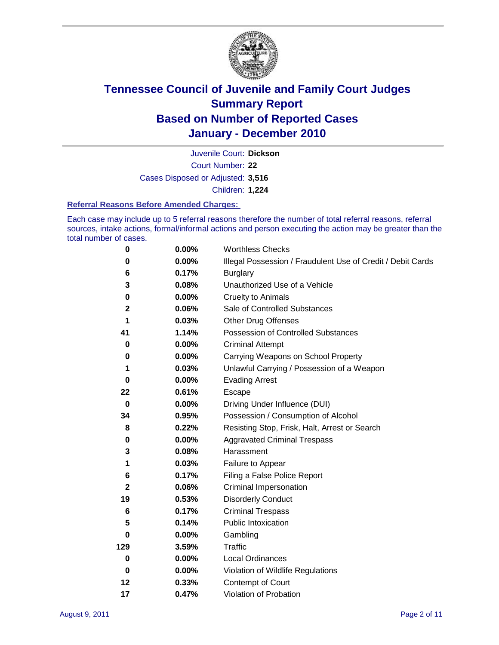

Court Number: **22** Juvenile Court: **Dickson** Cases Disposed or Adjusted: **3,516** Children: **1,224**

#### **Referral Reasons Before Amended Charges:**

Each case may include up to 5 referral reasons therefore the number of total referral reasons, referral sources, intake actions, formal/informal actions and person executing the action may be greater than the total number of cases.

| $\pmb{0}$    | 0.00%    | <b>Worthless Checks</b>                                     |
|--------------|----------|-------------------------------------------------------------|
| 0            | 0.00%    | Illegal Possession / Fraudulent Use of Credit / Debit Cards |
| 6            | 0.17%    | <b>Burglary</b>                                             |
| 3            | 0.08%    | Unauthorized Use of a Vehicle                               |
| $\pmb{0}$    | $0.00\%$ | <b>Cruelty to Animals</b>                                   |
| 2            | 0.06%    | Sale of Controlled Substances                               |
| 1            | 0.03%    | <b>Other Drug Offenses</b>                                  |
| 41           | 1.14%    | Possession of Controlled Substances                         |
| 0            | $0.00\%$ | <b>Criminal Attempt</b>                                     |
| 0            | 0.00%    | Carrying Weapons on School Property                         |
| 1            | 0.03%    | Unlawful Carrying / Possession of a Weapon                  |
| $\bf{0}$     | $0.00\%$ | <b>Evading Arrest</b>                                       |
| 22           | 0.61%    | Escape                                                      |
| $\mathbf 0$  | 0.00%    | Driving Under Influence (DUI)                               |
| 34           | 0.95%    | Possession / Consumption of Alcohol                         |
| 8            | 0.22%    | Resisting Stop, Frisk, Halt, Arrest or Search               |
| 0            | $0.00\%$ | <b>Aggravated Criminal Trespass</b>                         |
| 3            | 0.08%    | Harassment                                                  |
| 1            | 0.03%    | Failure to Appear                                           |
| 6            | 0.17%    | Filing a False Police Report                                |
| $\mathbf{2}$ | 0.06%    | Criminal Impersonation                                      |
| 19           | 0.53%    | <b>Disorderly Conduct</b>                                   |
| 6            | 0.17%    | <b>Criminal Trespass</b>                                    |
| 5            | 0.14%    | Public Intoxication                                         |
| 0            | $0.00\%$ | Gambling                                                    |
| 129          | 3.59%    | <b>Traffic</b>                                              |
| 0            | $0.00\%$ | Local Ordinances                                            |
| $\mathbf 0$  | 0.00%    | Violation of Wildlife Regulations                           |
| 12           | 0.33%    | Contempt of Court                                           |
| 17           | 0.47%    | Violation of Probation                                      |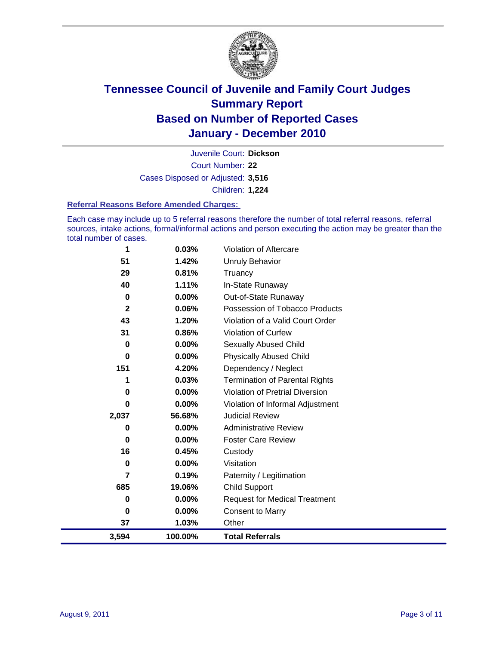

Court Number: **22** Juvenile Court: **Dickson** Cases Disposed or Adjusted: **3,516** Children: **1,224**

#### **Referral Reasons Before Amended Charges:**

Each case may include up to 5 referral reasons therefore the number of total referral reasons, referral sources, intake actions, formal/informal actions and person executing the action may be greater than the total number of cases.

| 1            | 0.03%   | Violation of Aftercare                 |
|--------------|---------|----------------------------------------|
| 51           | 1.42%   | <b>Unruly Behavior</b>                 |
| 29           | 0.81%   | Truancy                                |
| 40           | 1.11%   | In-State Runaway                       |
| 0            | 0.00%   | Out-of-State Runaway                   |
| $\mathbf{2}$ | 0.06%   | Possession of Tobacco Products         |
| 43           | 1.20%   | Violation of a Valid Court Order       |
| 31           | 0.86%   | Violation of Curfew                    |
| 0            | 0.00%   | Sexually Abused Child                  |
| $\bf{0}$     | 0.00%   | <b>Physically Abused Child</b>         |
| 151          | 4.20%   | Dependency / Neglect                   |
| 1            | 0.03%   | <b>Termination of Parental Rights</b>  |
| 0            | 0.00%   | <b>Violation of Pretrial Diversion</b> |
| 0            | 0.00%   | Violation of Informal Adjustment       |
| 2,037        | 56.68%  | <b>Judicial Review</b>                 |
| 0            | 0.00%   | <b>Administrative Review</b>           |
| 0            | 0.00%   | <b>Foster Care Review</b>              |
| 16           | 0.45%   | Custody                                |
| $\bf{0}$     | 0.00%   | Visitation                             |
| 7            | 0.19%   | Paternity / Legitimation               |
| 685          | 19.06%  | <b>Child Support</b>                   |
| 0            | 0.00%   | <b>Request for Medical Treatment</b>   |
| 0            | 0.00%   | <b>Consent to Marry</b>                |
| 37           | 1.03%   | Other                                  |
| 3,594        | 100.00% | <b>Total Referrals</b>                 |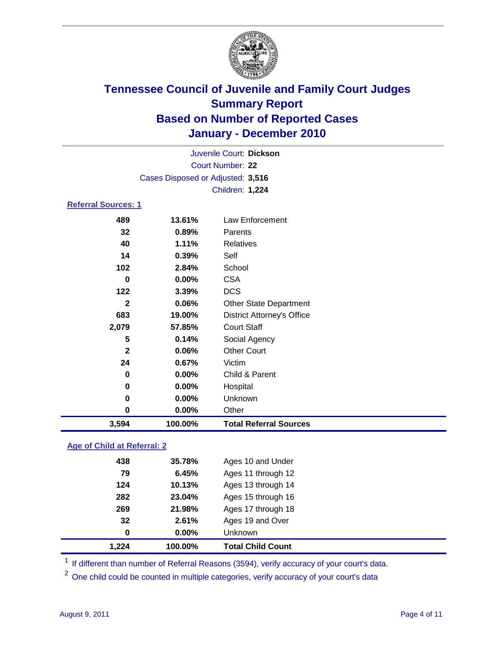

| 3,594                      | 100.00%                           | <b>Total Referral Sources</b>     |  |
|----------------------------|-----------------------------------|-----------------------------------|--|
| 0                          | 0.00%                             | Other                             |  |
| $\mathbf 0$                | $0.00\%$                          | Unknown                           |  |
| 0                          | 0.00%                             | Hospital                          |  |
| 0                          | 0.00%                             | Child & Parent                    |  |
| 24                         | 0.67%                             | Victim                            |  |
| $\mathbf{2}$               | 0.06%                             | <b>Other Court</b>                |  |
| 5                          | 0.14%                             | Social Agency                     |  |
| 2,079                      | 57.85%                            | <b>Court Staff</b>                |  |
| 683                        | 19.00%                            | <b>District Attorney's Office</b> |  |
| $\mathbf{2}$               | 0.06%                             | <b>Other State Department</b>     |  |
| 122                        | 3.39%                             | <b>DCS</b>                        |  |
| $\bf{0}$                   | 0.00%                             | <b>CSA</b>                        |  |
| 102                        | 2.84%                             | School                            |  |
| 14                         | 0.39%                             | Self                              |  |
| 40                         | 1.11%                             | <b>Relatives</b>                  |  |
| 32                         | 0.89%                             | Parents                           |  |
| 489                        | 13.61%                            | Law Enforcement                   |  |
| <b>Referral Sources: 1</b> |                                   |                                   |  |
|                            |                                   | Children: 1,224                   |  |
|                            | Cases Disposed or Adjusted: 3,516 |                                   |  |
|                            |                                   | Court Number: 22                  |  |
|                            |                                   | Juvenile Court: Dickson           |  |
|                            |                                   |                                   |  |

### **Age of Child at Referral: 2**

| 1,224 | 100.00% | <b>Total Child Count</b> |
|-------|---------|--------------------------|
| 0     | 0.00%   | Unknown                  |
| 32    | 2.61%   | Ages 19 and Over         |
| 269   | 21.98%  | Ages 17 through 18       |
| 282   | 23.04%  | Ages 15 through 16       |
| 124   | 10.13%  | Ages 13 through 14       |
| 79    | 6.45%   | Ages 11 through 12       |
| 438   | 35.78%  | Ages 10 and Under        |
|       |         |                          |

<sup>1</sup> If different than number of Referral Reasons (3594), verify accuracy of your court's data.

<sup>2</sup> One child could be counted in multiple categories, verify accuracy of your court's data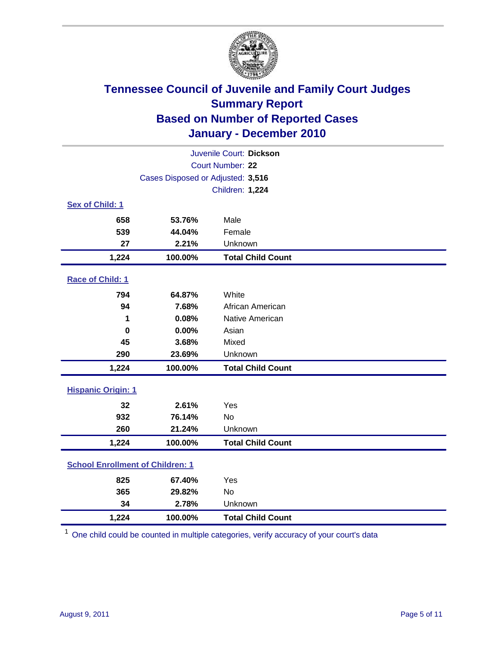

| Juvenile Court: Dickson                 |                                   |                          |  |  |
|-----------------------------------------|-----------------------------------|--------------------------|--|--|
|                                         | Court Number: 22                  |                          |  |  |
|                                         | Cases Disposed or Adjusted: 3,516 |                          |  |  |
|                                         |                                   | Children: 1,224          |  |  |
| Sex of Child: 1                         |                                   |                          |  |  |
| 658                                     | 53.76%                            | Male                     |  |  |
| 539                                     | 44.04%                            | Female                   |  |  |
| 27                                      | 2.21%                             | Unknown                  |  |  |
| 1,224                                   | 100.00%                           | <b>Total Child Count</b> |  |  |
| Race of Child: 1                        |                                   |                          |  |  |
| 794                                     | 64.87%                            | White                    |  |  |
| 94                                      | 7.68%                             | African American         |  |  |
| 1                                       | 0.08%                             | Native American          |  |  |
| $\boldsymbol{0}$                        | 0.00%                             | Asian                    |  |  |
| 45                                      | 3.68%                             | Mixed                    |  |  |
| 290                                     | 23.69%                            | Unknown                  |  |  |
| 1,224                                   | 100.00%                           | <b>Total Child Count</b> |  |  |
| <b>Hispanic Origin: 1</b>               |                                   |                          |  |  |
| 32                                      | 2.61%                             | Yes                      |  |  |
| 932                                     | 76.14%                            | No                       |  |  |
| 260                                     | 21.24%                            | Unknown                  |  |  |
| 1,224                                   | 100.00%                           | <b>Total Child Count</b> |  |  |
| <b>School Enrollment of Children: 1</b> |                                   |                          |  |  |
| 825                                     | 67.40%                            | Yes                      |  |  |
| 365                                     | 29.82%                            | <b>No</b>                |  |  |
| 34                                      | 2.78%                             | Unknown                  |  |  |
| 1,224                                   | 100.00%                           | <b>Total Child Count</b> |  |  |

<sup>1</sup> One child could be counted in multiple categories, verify accuracy of your court's data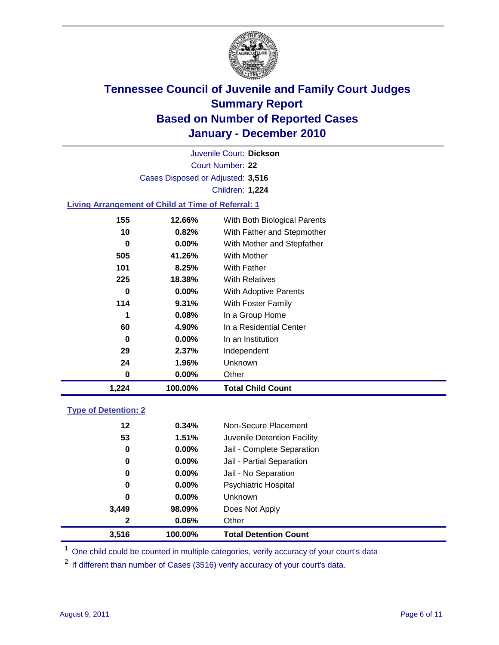

Court Number: **22** Juvenile Court: **Dickson** Cases Disposed or Adjusted: **3,516** Children: **1,224**

### **Living Arrangement of Child at Time of Referral: 1**

| 1,224 | 100.00%  | <b>Total Child Count</b>     |
|-------|----------|------------------------------|
| 0     | 0.00%    | Other                        |
| 24    | 1.96%    | Unknown                      |
| 29    | 2.37%    | Independent                  |
| 0     | $0.00\%$ | In an Institution            |
| 60    | 4.90%    | In a Residential Center      |
| 1     | 0.08%    | In a Group Home              |
| 114   | 9.31%    | With Foster Family           |
| 0     | $0.00\%$ | With Adoptive Parents        |
| 225   | 18.38%   | <b>With Relatives</b>        |
| 101   | 8.25%    | With Father                  |
| 505   | 41.26%   | <b>With Mother</b>           |
| 0     | $0.00\%$ | With Mother and Stepfather   |
| 10    | 0.82%    | With Father and Stepmother   |
| 155   | 12.66%   | With Both Biological Parents |
|       |          |                              |

### **Type of Detention: 2**

| 3.516        | 100.00%  | <b>Total Detention Count</b> |  |
|--------------|----------|------------------------------|--|
| $\mathbf{2}$ | 0.06%    | Other                        |  |
| 3,449        | 98.09%   | Does Not Apply               |  |
| 0            | $0.00\%$ | <b>Unknown</b>               |  |
| 0            | 0.00%    | <b>Psychiatric Hospital</b>  |  |
| 0            | 0.00%    | Jail - No Separation         |  |
| 0            | $0.00\%$ | Jail - Partial Separation    |  |
| 0            | 0.00%    | Jail - Complete Separation   |  |
| 53           | 1.51%    | Juvenile Detention Facility  |  |
| 12           | 0.34%    | Non-Secure Placement         |  |
|              |          |                              |  |

<sup>1</sup> One child could be counted in multiple categories, verify accuracy of your court's data

<sup>2</sup> If different than number of Cases (3516) verify accuracy of your court's data.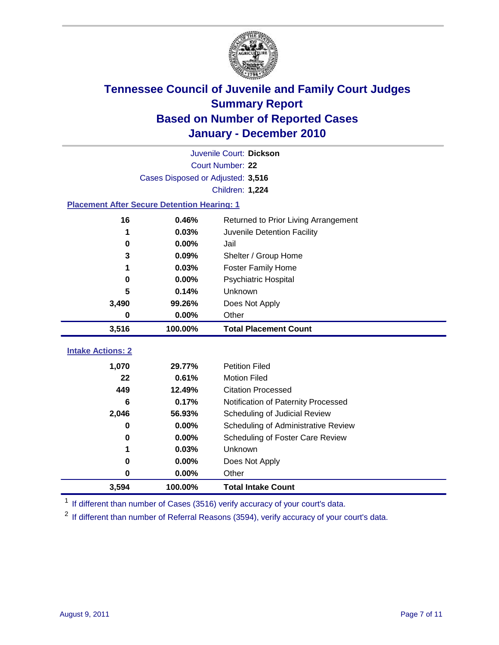

|                                                    | Juvenile Court: Dickson           |                                      |  |  |  |
|----------------------------------------------------|-----------------------------------|--------------------------------------|--|--|--|
|                                                    | Court Number: 22                  |                                      |  |  |  |
|                                                    | Cases Disposed or Adjusted: 3,516 |                                      |  |  |  |
|                                                    |                                   | <b>Children: 1,224</b>               |  |  |  |
| <b>Placement After Secure Detention Hearing: 1</b> |                                   |                                      |  |  |  |
| 16                                                 | 0.46%                             | Returned to Prior Living Arrangement |  |  |  |
| 1                                                  | 0.03%                             | Juvenile Detention Facility          |  |  |  |
| $\bf{0}$                                           | 0.00%                             | Jail                                 |  |  |  |
| 3                                                  | 0.09%                             | Shelter / Group Home                 |  |  |  |
| 1                                                  | 0.03%                             | Foster Family Home                   |  |  |  |
| 0                                                  | 0.00%                             | Psychiatric Hospital                 |  |  |  |
| 5                                                  | 0.14%                             | Unknown                              |  |  |  |
| 3,490                                              | 99.26%                            | Does Not Apply                       |  |  |  |
| 0                                                  | $0.00\%$                          | Other                                |  |  |  |
| 3,516                                              | 100.00%                           | <b>Total Placement Count</b>         |  |  |  |
|                                                    |                                   |                                      |  |  |  |
| <b>Intake Actions: 2</b>                           |                                   |                                      |  |  |  |
| 1,070                                              | 29.77%                            | <b>Petition Filed</b>                |  |  |  |
| 22                                                 | 0.61%                             | <b>Motion Filed</b>                  |  |  |  |
| 449                                                | 12.49%                            | <b>Citation Processed</b>            |  |  |  |
| 6                                                  | 0.17%                             | Notification of Paternity Processed  |  |  |  |
| 2,046                                              | 56.93%                            | Scheduling of Judicial Review        |  |  |  |
| 0                                                  | 0.00%                             | Scheduling of Administrative Review  |  |  |  |
| 0                                                  | 0.00%                             | Scheduling of Foster Care Review     |  |  |  |
| 1                                                  | 0.03%                             | Unknown                              |  |  |  |
| 0                                                  | 0.00%                             | Does Not Apply                       |  |  |  |
| $\pmb{0}$                                          | 0.00%                             | Other                                |  |  |  |
| 3,594                                              | 100.00%                           | <b>Total Intake Count</b>            |  |  |  |

<sup>1</sup> If different than number of Cases (3516) verify accuracy of your court's data.

<sup>2</sup> If different than number of Referral Reasons (3594), verify accuracy of your court's data.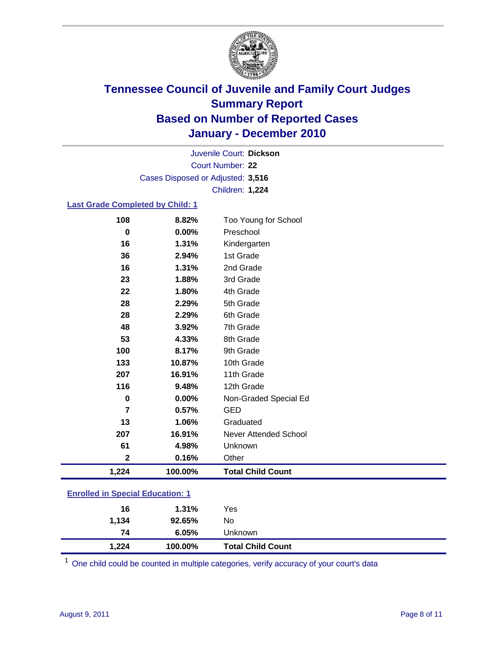

Court Number: **22** Juvenile Court: **Dickson** Cases Disposed or Adjusted: **3,516** Children: **1,224**

#### **Last Grade Completed by Child: 1**

| 108                                     | 8.82%   | Too Young for School         |  |
|-----------------------------------------|---------|------------------------------|--|
| 0                                       | 0.00%   | Preschool                    |  |
| 16                                      | 1.31%   | Kindergarten                 |  |
| 36                                      | 2.94%   | 1st Grade                    |  |
| 16                                      | 1.31%   | 2nd Grade                    |  |
| 23                                      | 1.88%   | 3rd Grade                    |  |
| 22                                      | 1.80%   | 4th Grade                    |  |
| 28                                      | 2.29%   | 5th Grade                    |  |
| 28                                      | 2.29%   | 6th Grade                    |  |
| 48                                      | 3.92%   | 7th Grade                    |  |
| 53                                      | 4.33%   | 8th Grade                    |  |
| 100                                     | 8.17%   | 9th Grade                    |  |
| 133                                     | 10.87%  | 10th Grade                   |  |
| 207                                     | 16.91%  | 11th Grade                   |  |
| 116                                     | 9.48%   | 12th Grade                   |  |
| 0                                       | 0.00%   | Non-Graded Special Ed        |  |
| 7                                       | 0.57%   | GED                          |  |
| 13                                      | 1.06%   | Graduated                    |  |
| 207                                     | 16.91%  | <b>Never Attended School</b> |  |
| 61                                      | 4.98%   | Unknown                      |  |
| $\mathbf 2$                             | 0.16%   | Other                        |  |
| 1,224                                   | 100.00% | <b>Total Child Count</b>     |  |
| <b>Enrolled in Special Education: 1</b> |         |                              |  |

| 16          | 1.31%           | Yes                      |
|-------------|-----------------|--------------------------|
| 1,134<br>74 | 92.65%<br>6.05% | No<br>Unknown            |
| 1,224       | 100.00%         | <b>Total Child Count</b> |

One child could be counted in multiple categories, verify accuracy of your court's data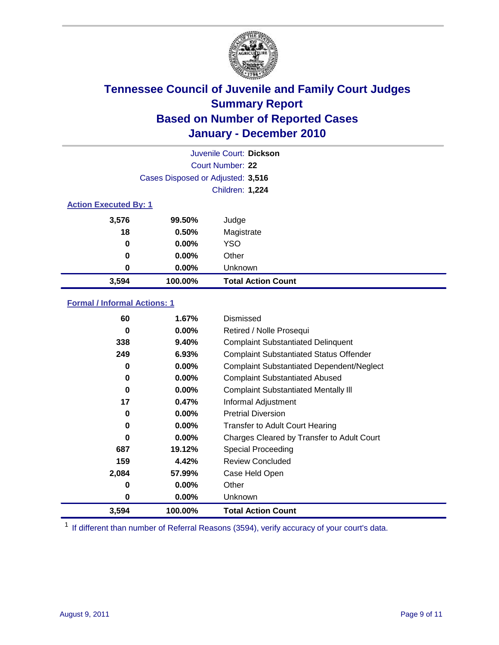

| Juvenile Court: Dickson      |                                   |                           |  |  |  |
|------------------------------|-----------------------------------|---------------------------|--|--|--|
|                              | Court Number: 22                  |                           |  |  |  |
|                              | Cases Disposed or Adjusted: 3,516 |                           |  |  |  |
|                              |                                   | Children: 1,224           |  |  |  |
| <b>Action Executed By: 1</b> |                                   |                           |  |  |  |
| 3,576                        | 99.50%                            | Judge                     |  |  |  |
| 18                           | 0.50%                             | Magistrate                |  |  |  |
| 0                            | $0.00\%$                          | <b>YSO</b>                |  |  |  |
| $\bf{0}$                     | 0.00%                             | Other                     |  |  |  |
| 0                            | 0.00%                             | Unknown                   |  |  |  |
| 3,594                        | 100.00%                           | <b>Total Action Count</b> |  |  |  |

### **Formal / Informal Actions: 1**

| 60    | 1.67%    | Dismissed                                        |
|-------|----------|--------------------------------------------------|
| 0     | $0.00\%$ | Retired / Nolle Prosequi                         |
| 338   | 9.40%    | <b>Complaint Substantiated Delinquent</b>        |
| 249   | 6.93%    | <b>Complaint Substantiated Status Offender</b>   |
| 0     | $0.00\%$ | <b>Complaint Substantiated Dependent/Neglect</b> |
| 0     | $0.00\%$ | <b>Complaint Substantiated Abused</b>            |
| 0     | $0.00\%$ | <b>Complaint Substantiated Mentally III</b>      |
| 17    | 0.47%    | Informal Adjustment                              |
| 0     | $0.00\%$ | <b>Pretrial Diversion</b>                        |
| 0     | $0.00\%$ | <b>Transfer to Adult Court Hearing</b>           |
| 0     | $0.00\%$ | Charges Cleared by Transfer to Adult Court       |
| 687   | 19.12%   | Special Proceeding                               |
| 159   | 4.42%    | <b>Review Concluded</b>                          |
| 2,084 | 57.99%   | Case Held Open                                   |
| 0     | $0.00\%$ | Other                                            |
| 0     | $0.00\%$ | <b>Unknown</b>                                   |
| 3,594 | 100.00%  | <b>Total Action Count</b>                        |

<sup>1</sup> If different than number of Referral Reasons (3594), verify accuracy of your court's data.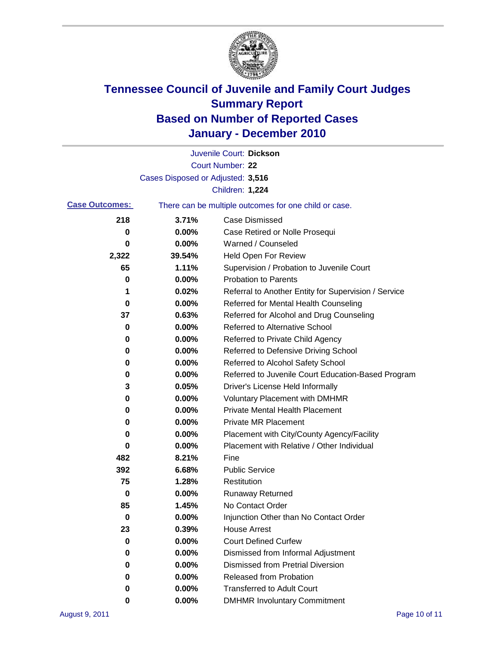

|                       |                                   | Juvenile Court: Dickson                               |
|-----------------------|-----------------------------------|-------------------------------------------------------|
|                       |                                   | Court Number: 22                                      |
|                       | Cases Disposed or Adjusted: 3,516 |                                                       |
|                       |                                   | Children: 1,224                                       |
| <b>Case Outcomes:</b> |                                   | There can be multiple outcomes for one child or case. |
| 218                   | 3.71%                             | <b>Case Dismissed</b>                                 |
| 0                     | 0.00%                             | Case Retired or Nolle Prosequi                        |
| 0                     | 0.00%                             | Warned / Counseled                                    |
| 2,322                 | 39.54%                            | Held Open For Review                                  |
| 65                    | 1.11%                             | Supervision / Probation to Juvenile Court             |
| 0                     | 0.00%                             | <b>Probation to Parents</b>                           |
| 1                     | 0.02%                             | Referral to Another Entity for Supervision / Service  |
| 0                     | 0.00%                             | Referred for Mental Health Counseling                 |
| 37                    | 0.63%                             | Referred for Alcohol and Drug Counseling              |
| 0                     | 0.00%                             | <b>Referred to Alternative School</b>                 |
| 0                     | 0.00%                             | Referred to Private Child Agency                      |
| 0                     | 0.00%                             | Referred to Defensive Driving School                  |
| 0                     | 0.00%                             | Referred to Alcohol Safety School                     |
| 0                     | 0.00%                             | Referred to Juvenile Court Education-Based Program    |
| 3                     | 0.05%                             | Driver's License Held Informally                      |
| 0                     | 0.00%                             | <b>Voluntary Placement with DMHMR</b>                 |
| 0                     | 0.00%                             | <b>Private Mental Health Placement</b>                |
| 0                     | 0.00%                             | <b>Private MR Placement</b>                           |
| 0                     | 0.00%                             | Placement with City/County Agency/Facility            |
| 0                     | 0.00%                             | Placement with Relative / Other Individual            |
| 482                   | 8.21%                             | Fine                                                  |
| 392                   | 6.68%                             | <b>Public Service</b>                                 |
| 75                    | 1.28%                             | Restitution                                           |
| 0                     | 0.00%                             | <b>Runaway Returned</b>                               |
| 85                    | 1.45%                             | No Contact Order                                      |
| 0                     | 0.00%                             | Injunction Other than No Contact Order                |
| 23                    | 0.39%                             | <b>House Arrest</b>                                   |
| 0                     | $0.00\%$                          | <b>Court Defined Curfew</b>                           |
| 0                     | 0.00%                             | Dismissed from Informal Adjustment                    |
| 0                     | $0.00\%$                          | <b>Dismissed from Pretrial Diversion</b>              |
| 0                     | 0.00%                             | Released from Probation                               |
| 0                     | $0.00\%$                          | <b>Transferred to Adult Court</b>                     |
| 0                     | $0.00\%$                          | <b>DMHMR Involuntary Commitment</b>                   |